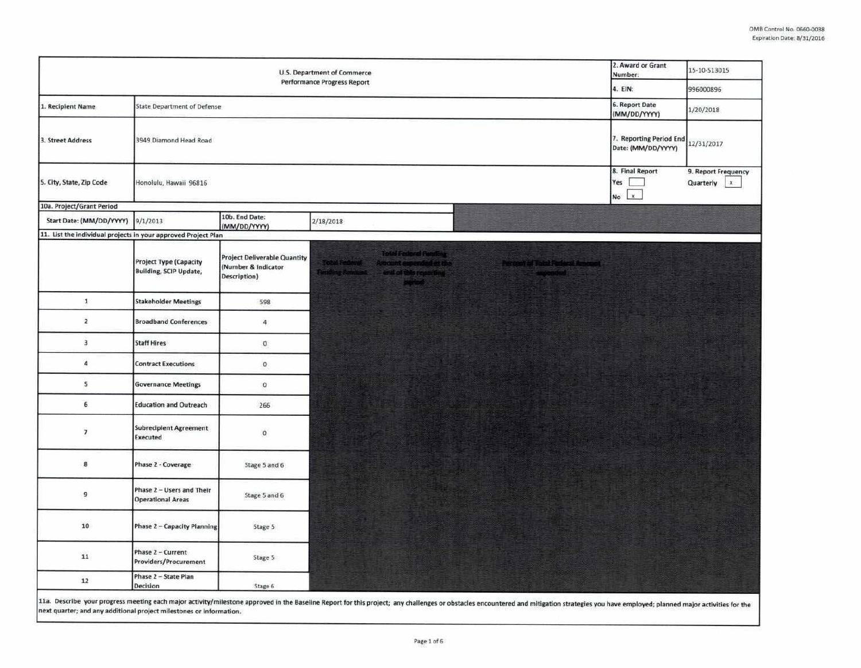| U.S. Department of Commerce<br><b>Performance Progress Report</b> |                                                                |                                                                            |                                                                                                                                      |                                                   | 2. Award or Grant<br>Number:                  | 15-10-513015                                       |
|-------------------------------------------------------------------|----------------------------------------------------------------|----------------------------------------------------------------------------|--------------------------------------------------------------------------------------------------------------------------------------|---------------------------------------------------|-----------------------------------------------|----------------------------------------------------|
|                                                                   |                                                                |                                                                            |                                                                                                                                      |                                                   | 4. EIN:<br>6. Report Date                     | 996000896                                          |
| 1. Recipient Name                                                 | <b>State Department of Defense</b>                             |                                                                            |                                                                                                                                      |                                                   | (MM/DD/YYYY)                                  | 1/20/2018                                          |
| 3. Street Address                                                 | 3949 Diamond Head Road                                         |                                                                            |                                                                                                                                      |                                                   | 7. Reporting Period End<br>Date: (MM/DD/YYYY) | 12/31/2017                                         |
| 5. City, State, Zip Code                                          | Honolulu, Hawaii 96816                                         |                                                                            |                                                                                                                                      |                                                   | 8. Final Report<br>Yes<br>$\mathbf{x}$<br>No  | 9. Report Frequency<br>Quarterly<br>$\mathbf{x}$ . |
| 10a. Project/Grant Period                                         |                                                                |                                                                            |                                                                                                                                      |                                                   |                                               |                                                    |
| Start Date: (MM/DD/YYYY)                                          | 9/1/2013                                                       | 10b. End Date:<br>(MM/DD/YYYY)                                             | 2/18/2018                                                                                                                            |                                                   |                                               |                                                    |
| 11. List the individual projects in your approved Project Plan    |                                                                |                                                                            |                                                                                                                                      |                                                   |                                               |                                                    |
|                                                                   | <b>Project Type (Capacity</b><br><b>Building, SCIP Update,</b> | <b>Project Deliverable Quantity</b><br>(Number & Indicator<br>Description) | <b>Total Federal Ponding</b><br><u>Cool federal</u><br>Amount expended at the<br>money American County of this reporting<br>payment. | Teropet of Take Fisiers! Associat.<br>- expended: |                                               |                                                    |
| 1                                                                 | <b>Stakeholder Meetings</b>                                    | 598                                                                        |                                                                                                                                      |                                                   |                                               |                                                    |
| $\overline{2}$                                                    | <b>Broadband Conferences</b>                                   | $\overline{4}$                                                             |                                                                                                                                      |                                                   |                                               |                                                    |
| 3                                                                 | <b>Staff Hires</b>                                             | o                                                                          |                                                                                                                                      |                                                   |                                               |                                                    |
| 4                                                                 | <b>Contract Executions</b>                                     | 0                                                                          |                                                                                                                                      |                                                   |                                               |                                                    |
| 5.                                                                | <b>Governance Meetings</b>                                     | $\sigma$                                                                   |                                                                                                                                      |                                                   |                                               |                                                    |
| 6                                                                 | <b>Education and Outreach</b>                                  | 266                                                                        |                                                                                                                                      |                                                   |                                               |                                                    |
| $\overline{I}$                                                    | <b>Subrecipient Agreement</b><br><b>Executed</b>               | $\mathbf{0}$                                                               |                                                                                                                                      |                                                   |                                               |                                                    |
| 8                                                                 | Phase 2 - Coverage                                             | Stage 5 and 6                                                              |                                                                                                                                      |                                                   |                                               |                                                    |
| 9                                                                 | Phase 2 - Users and Their<br><b>Operational Areas</b>          | Stage 5 and 6                                                              |                                                                                                                                      |                                                   |                                               |                                                    |
| 10                                                                | Phase 2 - Capacity Planning                                    | Stage 5                                                                    |                                                                                                                                      |                                                   |                                               |                                                    |
| 11                                                                | Phase 2 - Current<br>Providers/Procurement                     | Stage 5                                                                    |                                                                                                                                      |                                                   |                                               |                                                    |
| 12                                                                | Phase 2 - State Plan<br>Decision                               | Stage 6                                                                    |                                                                                                                                      |                                                   |                                               |                                                    |

11a. Describe your progress meeting each major activity/milestone approved in the Baseline Report for this project; any challenges or obstacles encountered and mitigation strategies you have employed; planned major activit next quarter; and any additional project milestones or information.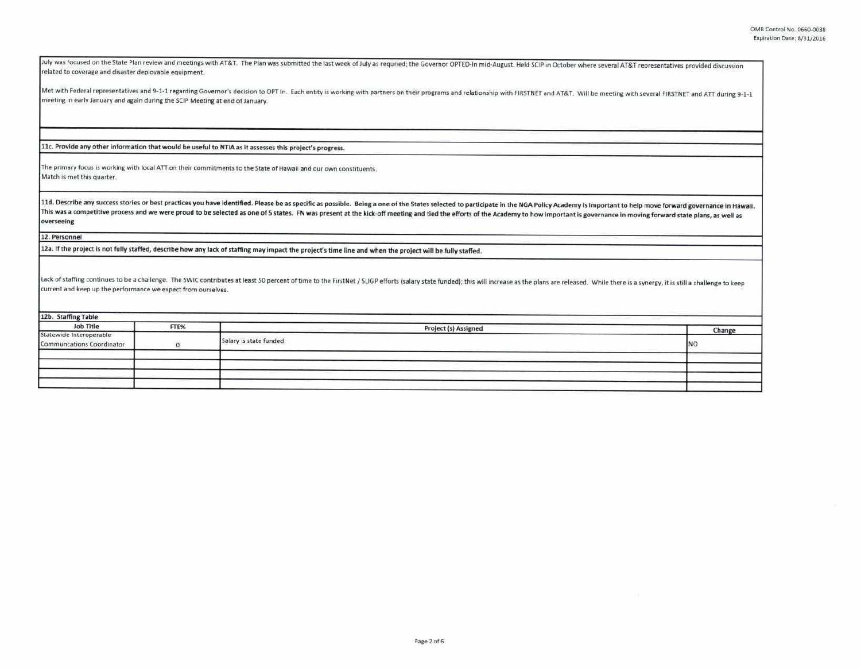July was focused on the State Plan review and meetings with AT&T. The Plan was submitted the last week of July as requried; the Governor OPTED-In mid-August. Held SCIP in October where several AT&T representatives provided related to coverage and disaster deployable equipment.

Met with Federal representatives and 9-1-1 regarding Governor's decision to OPT In. Each entity is working with partners on their programs and relationship with FIRSTNET and AT&T. Will be meeting with several FIRSTNET and meeting in early January and again during the SCIP Meeting at end of January.

11c. Provide any other Information that would be useful to NTIA as It assesses this project's progress.

The primary focus is working with local ATT on their commitments to the State of Hawaii and our own constituents. Match is met this quarter.

11d. Describe any success stories or best practices you have identified. Please be as specific as possible. Being a one of the States selected to participate in the NGA Policy Academy is important to help move forward gove This was a competitive process and we were proud to be selected as one of 5 states. FN was present at the kick-off meeting and tied the efforts of the Academy to how important is governance in moving forward state plans, a **overseelng** 

12. Personnel

**12a.** If the project Is not fully staffed, describe how any lack of staffing may Impact the project's time line and when the project **will be** fully staffed.

Lack of staffing continues to be a challenge. The SWIC contributes at least 50 percent of time to the FirstNet / SLIGP efforts (salary state funded); this will increase as the plans are released. While there is a synergy, current and keep up the performance we expect from ourselves.

| 12b. Staffing Table                                  |      |                         |        |  |  |  |  |
|------------------------------------------------------|------|-------------------------|--------|--|--|--|--|
| Job Title                                            | FTE% | Project (s) Assigned    | Change |  |  |  |  |
| Statewide Interoperable<br>Communcations Coordinator |      | Salary is state funded. | INO    |  |  |  |  |
|                                                      |      |                         |        |  |  |  |  |
|                                                      |      |                         |        |  |  |  |  |
|                                                      |      |                         |        |  |  |  |  |